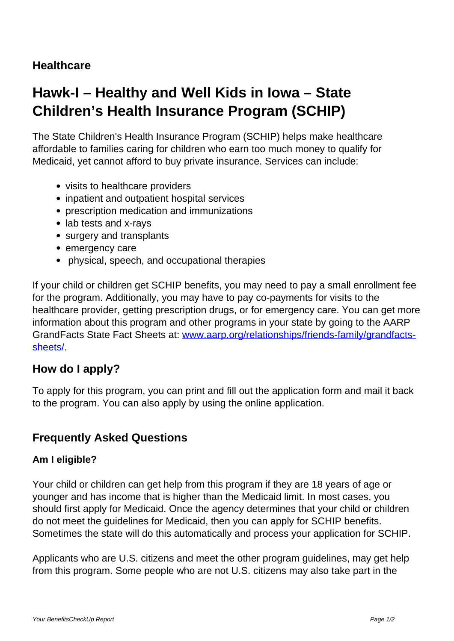## **Healthcare**

# **Hawk-I – Healthy and Well Kids in Iowa – State Children's Health Insurance Program (SCHIP)**

The State Children's Health Insurance Program (SCHIP) helps make healthcare affordable to families caring for children who earn too much money to qualify for Medicaid, yet cannot afford to buy private insurance. Services can include:

- visits to healthcare providers
- inpatient and outpatient hospital services
- prescription medication and immunizations
- lab tests and x-rays
- surgery and transplants
- emergency care
- physical, speech, and occupational therapies

If your child or children get SCHIP benefits, you may need to pay a small enrollment fee for the program. Additionally, you may have to pay co-payments for visits to the healthcare provider, getting prescription drugs, or for emergency care. You can get more information about this program and other programs in your state by going to the AARP GrandFacts State Fact Sheets at: [www.aarp.org/relationships/friends-family/grandfacts](http://www.aarp.org/relationships/friends-family/grandfacts-sheets/)[sheets/](http://www.aarp.org/relationships/friends-family/grandfacts-sheets/).

### **How do I apply?**

To apply for this program, you can print and fill out the application form and mail it back to the program. You can also apply by using the online application.

### **Frequently Asked Questions**

#### **Am I eligible?**

Your child or children can get help from this program if they are 18 years of age or younger and has income that is higher than the Medicaid limit. In most cases, you should first apply for Medicaid. Once the agency determines that your child or children do not meet the guidelines for Medicaid, then you can apply for SCHIP benefits. Sometimes the state will do this automatically and process your application for SCHIP.

Applicants who are U.S. citizens and meet the other program guidelines, may get help from this program. Some people who are not U.S. citizens may also take part in the